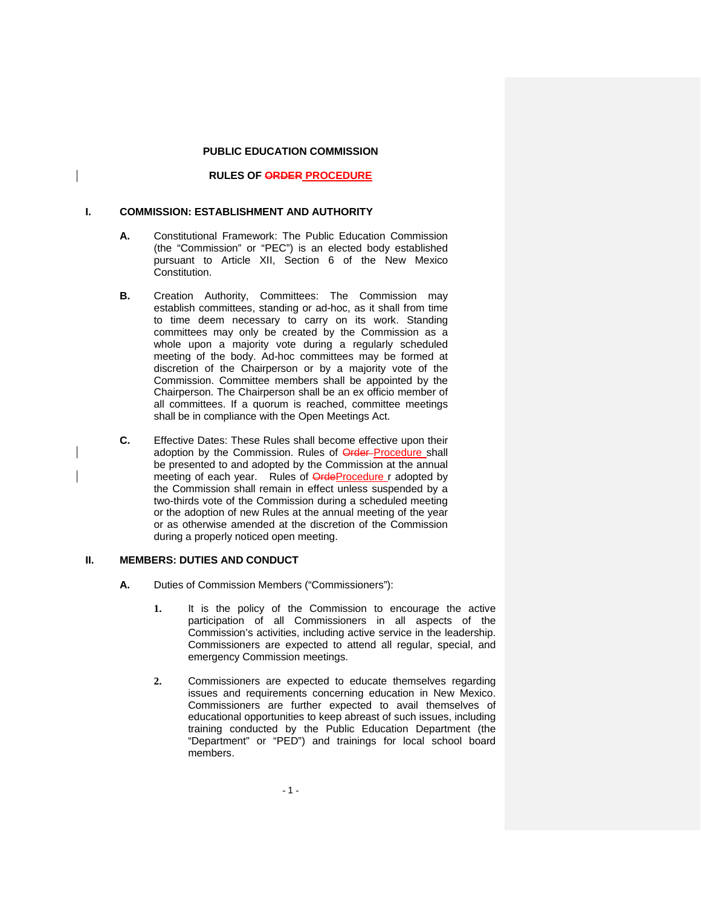# **PUBLIC EDUCATION COMMISSION**

# **RULES OF ORDER PROCEDURE**

#### **I. COMMISSION: ESTABLISHMENT AND AUTHORITY**

- **A.** Constitutional Framework: The Public Education Commission (the "Commission" or "PEC") is an elected body established pursuant to Article XII, Section 6 of the New Mexico Constitution.
- **B.** Creation Authority, Committees: The Commission may establish committees, standing or ad-hoc, as it shall from time to time deem necessary to carry on its work. Standing committees may only be created by the Commission as a whole upon a majority vote during a regularly scheduled meeting of the body. Ad-hoc committees may be formed at discretion of the Chairperson or by a majority vote of the Commission. Committee members shall be appointed by the Chairperson. The Chairperson shall be an ex officio member of all committees. If a quorum is reached, committee meetings shall be in compliance with the Open Meetings Act.
- **C.** Effective Dates: These Rules shall become effective upon their adoption by the Commission. Rules of **Order**-Procedure shall be presented to and adopted by the Commission at the annual meeting of each year. Rules of **OrdeProcedure** r adopted by the Commission shall remain in effect unless suspended by a two-thirds vote of the Commission during a scheduled meeting or the adoption of new Rules at the annual meeting of the year or as otherwise amended at the discretion of the Commission during a properly noticed open meeting.

### **II. MEMBERS: DUTIES AND CONDUCT**

- **A.** Duties of Commission Members ("Commissioners"):
	- **1.** It is the policy of the Commission to encourage the active participation of all Commissioners in all aspects of the Commission's activities, including active service in the leadership. Commissioners are expected to attend all regular, special, and emergency Commission meetings.
	- **2.** Commissioners are expected to educate themselves regarding issues and requirements concerning education in New Mexico. Commissioners are further expected to avail themselves of educational opportunities to keep abreast of such issues, including training conducted by the Public Education Department (the "Department" or "PED") and trainings for local school board members.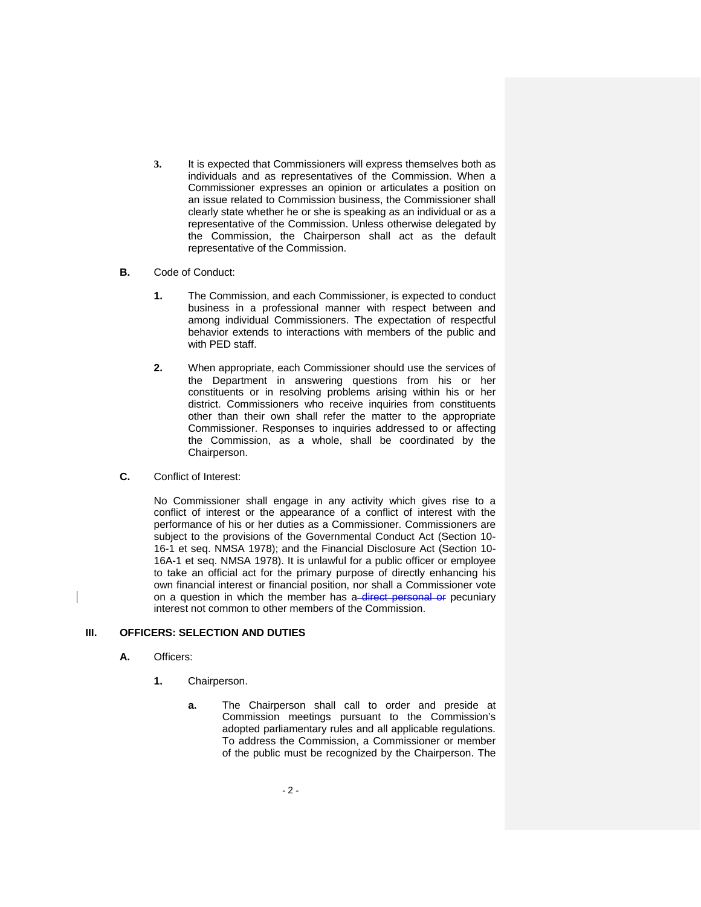- **3.** It is expected that Commissioners will express themselves both as individuals and as representatives of the Commission. When a Commissioner expresses an opinion or articulates a position on an issue related to Commission business, the Commissioner shall clearly state whether he or she is speaking as an individual or as a representative of the Commission. Unless otherwise delegated by the Commission, the Chairperson shall act as the default representative of the Commission.
- **B.** Code of Conduct:
	- **1.** The Commission, and each Commissioner, is expected to conduct business in a professional manner with respect between and among individual Commissioners. The expectation of respectful behavior extends to interactions with members of the public and with PED staff.
	- **2.** When appropriate, each Commissioner should use the services of the Department in answering questions from his or her constituents or in resolving problems arising within his or her district. Commissioners who receive inquiries from constituents other than their own shall refer the matter to the appropriate Commissioner. Responses to inquiries addressed to or affecting the Commission, as a whole, shall be coordinated by the Chairperson.
- **C.** Conflict of Interest:

No Commissioner shall engage in any activity which gives rise to a conflict of interest or the appearance of a conflict of interest with the performance of his or her duties as a Commissioner. Commissioners are subject to the provisions of the Governmental Conduct Act (Section 10- 16-1 et seq. NMSA 1978); and the Financial Disclosure Act (Section 10- 16A-1 et seq. NMSA 1978). It is unlawful for a public officer or employee to take an official act for the primary purpose of directly enhancing his own financial interest or financial position, nor shall a Commissioner vote on a question in which the member has a-direct personal or pecuniary interest not common to other members of the Commission.

# **III. OFFICERS: SELECTION AND DUTIES**

- **A.** Officers:
	- **1.** Chairperson.
		- **a.** The Chairperson shall call to order and preside at Commission meetings pursuant to the Commission's adopted parliamentary rules and all applicable regulations. To address the Commission, a Commissioner or member of the public must be recognized by the Chairperson. The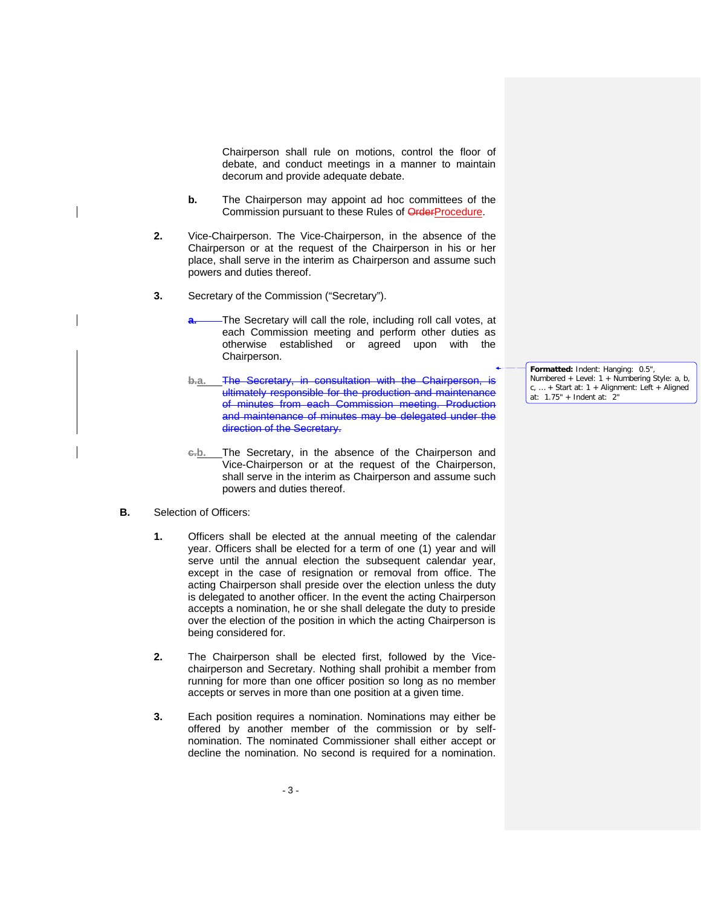Chairperson shall rule on motions, control the floor of debate, and conduct meetings in a manner to maintain decorum and provide adequate debate.

- **b.** The Chairperson may appoint ad hoc committees of the Commission pursuant to these Rules of OrderProcedure.
- **2.** Vice-Chairperson. The Vice-Chairperson, in the absence of the Chairperson or at the request of the Chairperson in his or her place, shall serve in the interim as Chairperson and assume such powers and duties thereof.
- **3.** Secretary of the Commission ("Secretary").
	- **a.** The Secretary will call the role, including roll call votes, at each Commission meeting and perform other duties as otherwise established or agreed upon with the Chairperson.
	- **b.a.** The Secretary, in consultation with the Chairperson, is ultimately responsible for the production and maintenance of minutes from each Commission meeting. Production and maintenance of minutes may be delegated under the direction of the Secretary.
	- **c.b.** The Secretary, in the absence of the Chairperson and Vice-Chairperson or at the request of the Chairperson, shall serve in the interim as Chairperson and assume such powers and duties thereof.
- **B.** Selection of Officers:
	- **1.** Officers shall be elected at the annual meeting of the calendar year. Officers shall be elected for a term of one (1) year and will serve until the annual election the subsequent calendar year, except in the case of resignation or removal from office. The acting Chairperson shall preside over the election unless the duty is delegated to another officer. In the event the acting Chairperson accepts a nomination, he or she shall delegate the duty to preside over the election of the position in which the acting Chairperson is being considered for.
	- **2.** The Chairperson shall be elected first, followed by the Vicechairperson and Secretary. Nothing shall prohibit a member from running for more than one officer position so long as no member accepts or serves in more than one position at a given time.
	- **3.** Each position requires a nomination. Nominations may either be offered by another member of the commission or by selfnomination. The nominated Commissioner shall either accept or decline the nomination. No second is required for a nomination.

**Formatted:** Indent: Hanging: 0.5", Numbered + Level:  $1 +$  Numbering Style:  $a, b$ , c, … + Start at: 1 + Alignment: Left + Aligned at: 1.75" + Indent at: 2"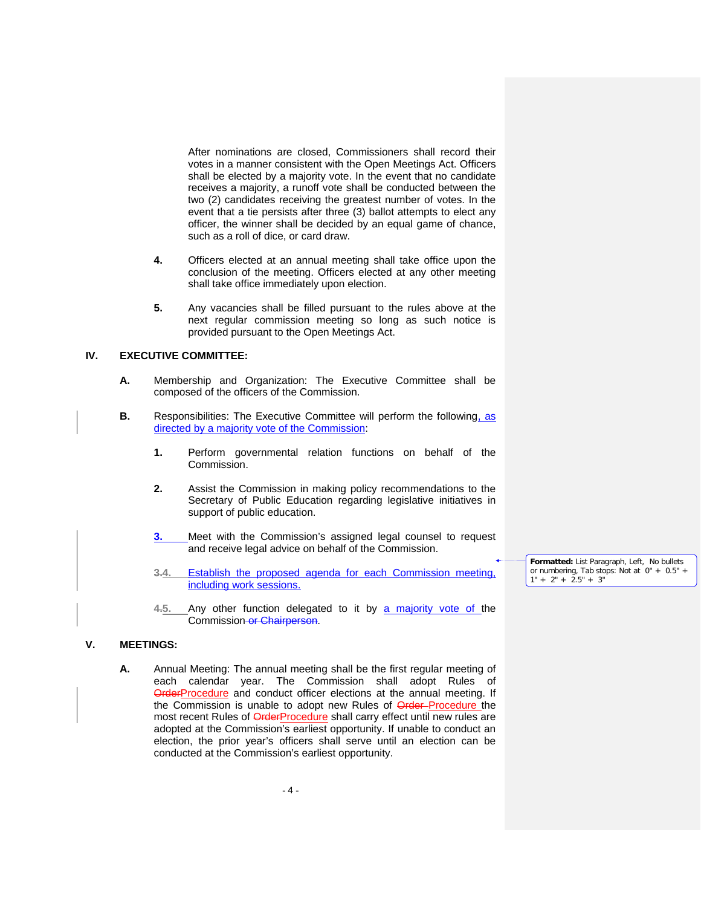After nominations are closed, Commissioners shall record their votes in a manner consistent with the Open Meetings Act. Officers shall be elected by a majority vote. In the event that no candidate receives a majority, a runoff vote shall be conducted between the two (2) candidates receiving the greatest number of votes. In the event that a tie persists after three (3) ballot attempts to elect any officer, the winner shall be decided by an equal game of chance, such as a roll of dice, or card draw.

- **4.** Officers elected at an annual meeting shall take office upon the conclusion of the meeting. Officers elected at any other meeting shall take office immediately upon election.
- **5.** Any vacancies shall be filled pursuant to the rules above at the next regular commission meeting so long as such notice is provided pursuant to the Open Meetings Act.

# **IV. EXECUTIVE COMMITTEE:**

- **A.** Membership and Organization: The Executive Committee shall be composed of the officers of the Commission.
- **B.** Responsibilities: The Executive Committee will perform the following, as directed by a majority vote of the Commission:
	- **1.** Perform governmental relation functions on behalf of the Commission.
	- **2.** Assist the Commission in making policy recommendations to the Secretary of Public Education regarding legislative initiatives in support of public education.
	- **3.** Meet with the Commission's assigned legal counsel to request and receive legal advice on behalf of the Commission.
	- **3.4.** Establish the proposed agenda for each Commission meeting, including work sessions.
	- **4.5.** Any other function delegated to it by a majority vote of the Commission or Chairperson.

### **V. MEETINGS:**

**A.** Annual Meeting: The annual meeting shall be the first regular meeting of each calendar year. The Commission shall adopt Rules of **OrderProcedure** and conduct officer elections at the annual meeting. If the Commission is unable to adopt new Rules of **Order-Procedure** the most recent Rules of OrderProcedure shall carry effect until new rules are adopted at the Commission's earliest opportunity. If unable to conduct an election, the prior year's officers shall serve until an election can be conducted at the Commission's earliest opportunity.

**Formatted:** List Paragraph, Left, No bullets or numbering, Tab stops: Not at 0" + 0.5" +  $1" + 2" + 2.5" + 3"$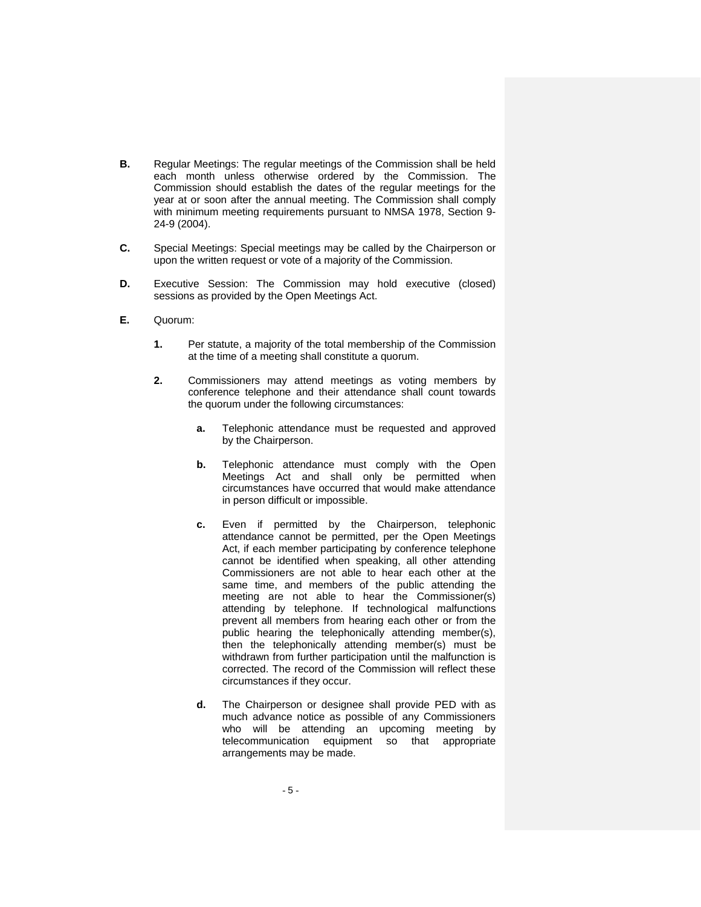- **B.** Regular Meetings: The regular meetings of the Commission shall be held each month unless otherwise ordered by the Commission. The Commission should establish the dates of the regular meetings for the year at or soon after the annual meeting. The Commission shall comply with minimum meeting requirements pursuant to NMSA 1978, Section 9- 24-9 (2004).
- **C.** Special Meetings: Special meetings may be called by the Chairperson or upon the written request or vote of a majority of the Commission.
- **D.** Executive Session: The Commission may hold executive (closed) sessions as provided by the Open Meetings Act.
- **E.** Quorum:
	- **1.** Per statute, a majority of the total membership of the Commission at the time of a meeting shall constitute a quorum.
	- **2.** Commissioners may attend meetings as voting members by conference telephone and their attendance shall count towards the quorum under the following circumstances:
		- **a.** Telephonic attendance must be requested and approved by the Chairperson.
		- **b.** Telephonic attendance must comply with the Open Meetings Act and shall only be permitted when circumstances have occurred that would make attendance in person difficult or impossible.
		- **c.** Even if permitted by the Chairperson, telephonic attendance cannot be permitted, per the Open Meetings Act, if each member participating by conference telephone cannot be identified when speaking, all other attending Commissioners are not able to hear each other at the same time, and members of the public attending the meeting are not able to hear the Commissioner(s) attending by telephone. If technological malfunctions prevent all members from hearing each other or from the public hearing the telephonically attending member(s), then the telephonically attending member(s) must be withdrawn from further participation until the malfunction is corrected. The record of the Commission will reflect these circumstances if they occur.
		- **d.** The Chairperson or designee shall provide PED with as much advance notice as possible of any Commissioners who will be attending an upcoming meeting by telecommunication equipment so that appropriate arrangements may be made.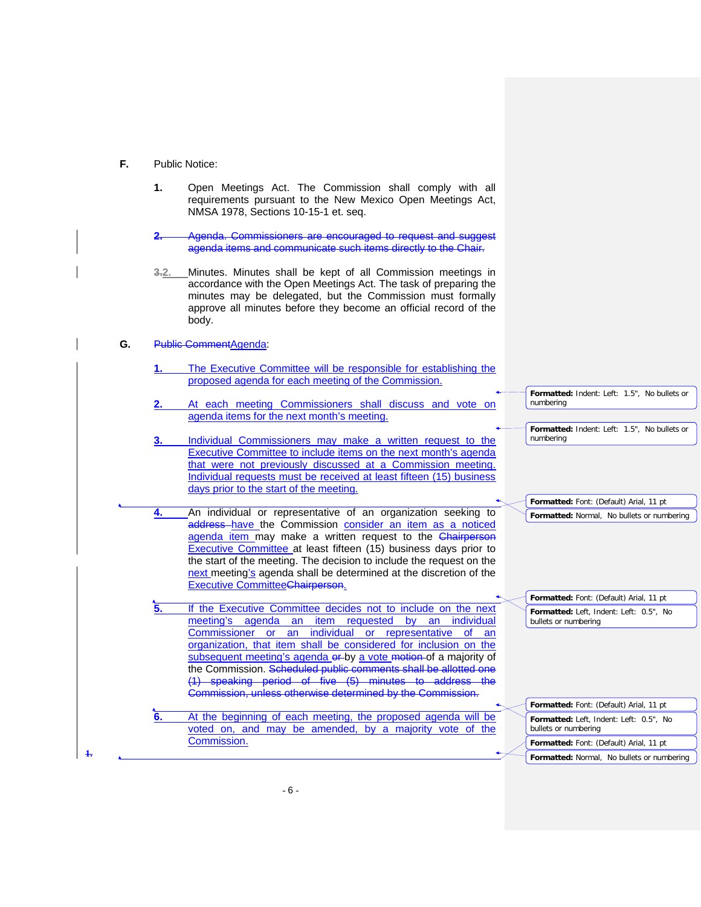- **F.** Public Notice:
	- **1.** Open Meetings Act. The Commission shall comply with all requirements pursuant to the New Mexico Open Meetings Act, NMSA 1978, Sections 10-15-1 et. seq.
	- **Commissioners are encouraged to request and suggest** agenda items and communicate such items directly to the Chair.
	- **3.2.** Minutes. Minutes shall be kept of all Commission meetings in accordance with the Open Meetings Act. The task of preparing the minutes may be delegated, but the Commission must formally approve all minutes before they become an official record of the body.

### **G.** Public CommentAgenda:

**1.**

- **1.** The Executive Committee will be responsible for establishing the proposed agenda for each meeting of the Commission.
- **2.** At each meeting Commissioners shall discuss and vote on agenda items for the next month's meeting.
- **3.** Individual Commissioners may make a written request to the Executive Committee to include items on the next month's agenda that were not previously discussed at a Commission meeting. Individual requests must be received at least fifteen (15) business days prior to the start of the meeting.
- **4.** An individual or representative of an organization seeking to address have the Commission consider an item as a noticed agenda item may make a written request to the Chairperson Executive Committee at least fifteen (15) business days prior to the start of the meeting. The decision to include the request on the next meeting's agenda shall be determined at the discretion of the Executive CommitteeChairperson.

**5.** If the Executive Committee decides not to include on the next meeting's agenda an item requested by an individual Commissioner or an individual or representative of an organization, that item shall be considered for inclusion on the subsequent meeting's agenda er-by a vote motion of a majority of the Commission. Scheduled public comments shall be allotted one (1) speaking period of five (5) minutes to address the Commission, unless otherwise determined by the Commission.

**6.** At the beginning of each meeting, the proposed agenda will be voted on, and may be amended, by a majority vote of the Commission.

**Formatted:** Font: (Default) Arial, 11 pt **Formatted:** Left, Indent: Left: 0.5", No bullets or numbering **Formatted:** Font: (Default) Arial, 11 pt

**Formatted:** Indent: Left: 1.5", No bullets or

**Formatted:** Indent: Left: 1.5", No bullets or

**Formatted:** Font: (Default) Arial, 11 pt **Formatted:** Normal, No bullets or numbering

**Formatted:** Font: (Default) Arial, 11 pt **Formatted:** Left, Indent: Left: 0.5", No

bullets or numbering

numbering

numbering

**Formatted:** Normal, No bullets or numbering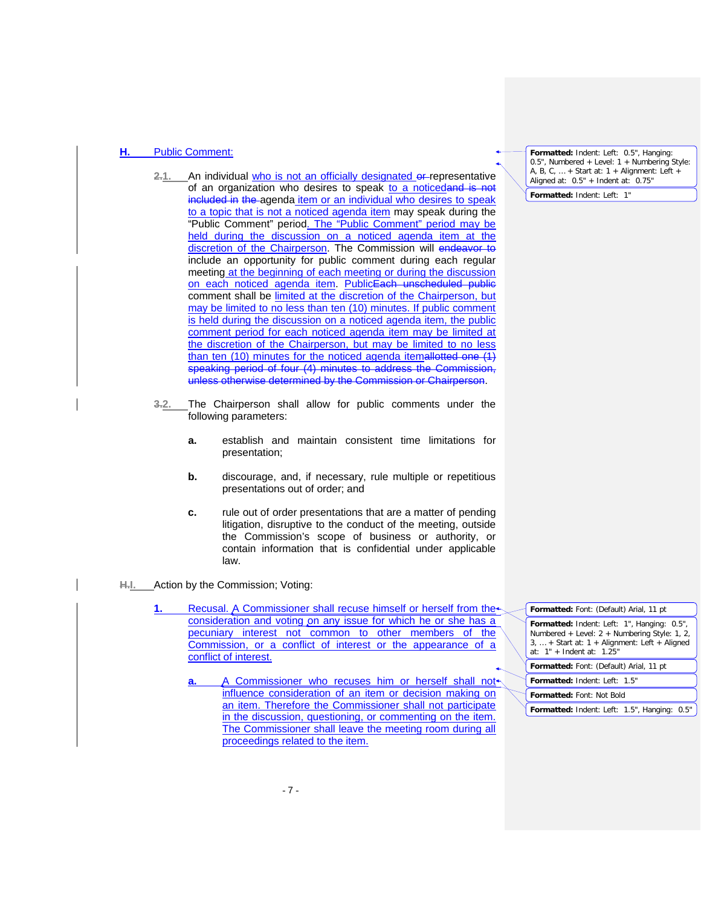# **H.** Public Comment:

- 2.1. An individual who is not an officially designated or representative of an organization who desires to speak to a noticedand is not included in the agenda item or an individual who desires to speak to a topic that is not a noticed agenda item may speak during the "Public Comment" period. The "Public Comment" period may be held during the discussion on a noticed agenda item at the discretion of the Chairperson. The Commission will endeavor to include an opportunity for public comment during each regular meeting at the beginning of each meeting or during the discussion on each noticed agenda item. PublicEach unscheduled public comment shall be limited at the discretion of the Chairperson, but may be limited to no less than ten (10) minutes. If public comment is held during the discussion on a noticed agenda item, the public comment period for each noticed agenda item may be limited at the discretion of the Chairperson, but may be limited to no less than ten (10) minutes for the noticed agenda itemallotted one (1) speaking period of four (4) minutes to address the Commission, unless otherwise determined by the Commission or Chairperson.
- **3.2.** The Chairperson shall allow for public comments under the following parameters:
	- **a.** establish and maintain consistent time limitations for presentation;
	- **b.** discourage, and, if necessary, rule multiple or repetitious presentations out of order; and
	- **c.** rule out of order presentations that are a matter of pending litigation, disruptive to the conduct of the meeting, outside the Commission's scope of business or authority, or contain information that is confidential under applicable law.
- **H.I.** Action by the Commission; Voting:

**1.** Recusal. A Commissioner shall recuse himself or herself from the consideration and voting on any issue for which he or she has a pecuniary interest not common to other members of the Commission, or a conflict of interest or the appearance of a conflict of interest.

**a.** A Commissioner who recuses him or herself shall not influence consideration of an item or decision making on an item. Therefore the Commissioner shall not participate in the discussion, questioning, or commenting on the item. The Commissioner shall leave the meeting room during all proceedings related to the item.

**Formatted:** Indent: Left: 0.5", Hanging: 0.5", Numbered + Level: 1 + Numbering Style: A, B, C, … + Start at: 1 + Alignment: Left + Aligned at:  $0.5" +$  Indent at:  $0.75"$ 

**Formatted:** Indent: Left: 1"

**Formatted:** Indent: Left: 1", Hanging: 0.5", Numbered + Level: 2 + Numbering Style: 1, 2, 3, … + Start at: 1 + Alignment: Left + Aligned at: 1" + Indent at: 1.25" **Formatted:** Font: (Default) Arial, 11 pt **Formatted:** Font: (Default) Arial, 11 pt **Formatted:** Indent: Left: 1.5" **Formatted:** Font: Not Bold **Formatted:** Indent: Left: 1.5", Hanging: 0.5"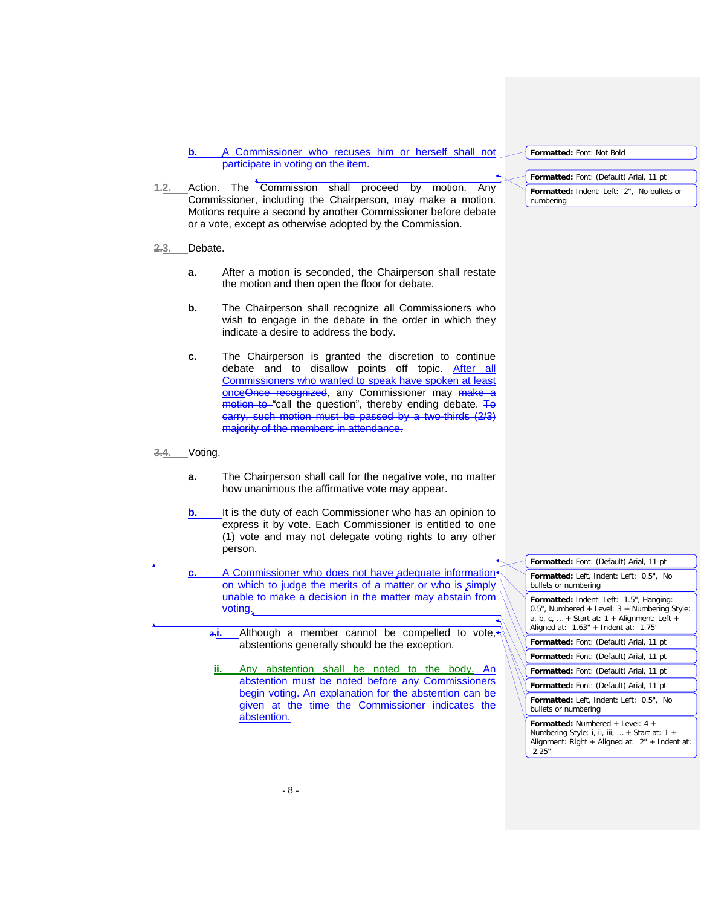**b.** A Commissioner who recuses him or herself shall not participate in voting on the item.

- **1.2.** Action. The Commission shall proceed by motion. Any Commissioner, including the Chairperson, may make a motion. Motions require a second by another Commissioner before debate or a vote, except as otherwise adopted by the Commission.
- **2.3.** Debate.
	- **a.** After a motion is seconded, the Chairperson shall restate the motion and then open the floor for debate.
	- **b.** The Chairperson shall recognize all Commissioners who wish to engage in the debate in the order in which they indicate a desire to address the body.
	- **c.** The Chairperson is granted the discretion to continue debate and to disallow points off topic. After all Commissioners who wanted to speak have spoken at least onceOnce recognized, any Commissioner may make a motion to "call the question", thereby ending debate. To carry, such motion must be passed by a two-thirds (2/3) majority of the members in attendance.

### **3.4.** Voting.

- **a.** The Chairperson shall call for the negative vote, no matter how unanimous the affirmative vote may appear.
- **b.** It is the duty of each Commissioner who has an opinion to express it by vote. Each Commissioner is entitled to one (1) vote and may not delegate voting rights to any other person.

**c.** A Commissioner who does not have adequate information on which to judge the merits of a matter or who is simply unable to make a decision in the matter may abstain from voting.

> **a.i.** Although a member cannot be compelled to vote, abstentions generally should be the exception.

Any abstention shall be noted to the body. An abstention must be noted before any Commissioners begin voting. An explanation for the abstention can be given at the time the Commissioner indicates the abstention.

**Formatted:** Font: (Default) Arial, 11 pt **Formatted:** Left, Indent: Left: 0.5", No bullets or numbering **Formatted:** Indent: Left: 1.5", Hanging: 0.5", Numbered + Level: 3 + Numbering Style: a, b, c,  $\dots$  + Start at: 1 + Alignment: Left + Aligned at:  $1.63" +$  Indent at: 1.75" **Formatted:** Font: (Default) Arial, 11 pt **Formatted:** Font: (Default) Arial, 11 pt **Formatted:** Font: (Default) Arial, 11 pt **Formatted:** Font: (Default) Arial, 11 pt **Formatted:** Left, Indent: Left: 0.5", No bullets or numbering **Formatted:** Numbered + Level: 4 + Numbering Style: i, ii, iii, … + Start at: 1 + Alignment: Right + Aligned at: 2" + Indent at: 2.25"

**Formatted:** Font: Not Bold

**Formatted:** Font: (Default) Arial, 11 pt **Formatted:** Indent: Left: 2", No bullets or numbering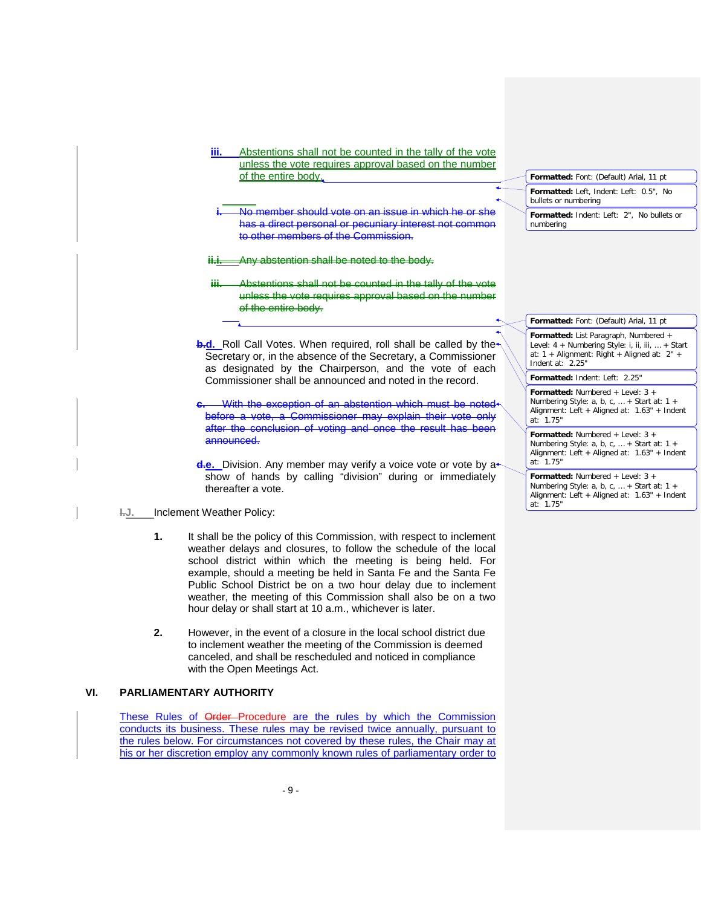| unless the vote requires approval based on the number<br>of the entire body.<br>Formatted: Font: (Default) Arial, 11 pt                                                                                                                                                                                                                                                |
|------------------------------------------------------------------------------------------------------------------------------------------------------------------------------------------------------------------------------------------------------------------------------------------------------------------------------------------------------------------------|
| Formatted: Left, Indent: Left: 0.5", No<br>bullets or numbering                                                                                                                                                                                                                                                                                                        |
| No member should vote on an issue in which he or she<br>Formatted: Indent: Left: 2", No bullets or<br>has a direct personal or pecuniary interest not common<br>numbering<br>to other members of the Commission.                                                                                                                                                       |
| Any abstention shall be noted to the hody.                                                                                                                                                                                                                                                                                                                             |
| Abstontions shall not be counted in the tally of the yote<br>Ш<br>unless the vote requires approval based on the number<br>of the entire body.                                                                                                                                                                                                                         |
| Formatted: Font: (Default) Arial, 11 pt                                                                                                                                                                                                                                                                                                                                |
| Formatted: List Paragraph, Numbered +<br><b>b.d.</b> Roll Call Votes. When required, roll shall be called by the<br>Level: 4 + Numbering Style: i, ii, iii,  + Start<br>at: $1 +$ Alignment: Right + Aligned at: $2" +$<br>Secretary or, in the absence of the Secretary, a Commissioner<br>Indent at: 2.25"<br>as designated by the Chairperson, and the vote of each |
| Formatted: Indent: Left: 2.25"<br>Commissioner shall be announced and noted in the record.                                                                                                                                                                                                                                                                             |
| <b>Formatted:</b> Numbered + Level: $3 +$<br>Numbering Style: a, b, c,  + Start at: $1 +$<br>With the exception of an abstention which must be noted<br>Alignment: Left + Aligned at: 1.63" + Indent<br>before a vote, a Commissioner may explain their vote only<br>at: 1.75"                                                                                         |
| after the conclusion of voting and once the result has been<br><b>Formatted:</b> Numbered + Level: $3 +$<br>announced.<br>Numbering Style: a, b, c,  + Start at: $1 +$<br>Alignment: Left + Aligned at: 1.63" + Indent<br>at: 1.75"<br><b>d.e.</b> Division. Any member may verify a voice vote or vote by a                                                           |
| show of hands by calling "division" during or immediately<br><b>Formatted:</b> Numbered + Level: $3 +$<br>Numbering Style: a, b, c,  + Start at: $1 +$<br>thereafter a vote.                                                                                                                                                                                           |

- weather delays and closures, to follow the schedule of the local school district within which the meeting is being held. For example, should a meeting be held in Santa Fe and the Santa Fe Public School District be on a two hour delay due to inclement weather, the meeting of this Commission shall also be on a two hour delay or shall start at 10 a.m., whichever is later.
- **2.** However, in the event of a closure in the local school district due to inclement weather the meeting of the Commission is deemed canceled, and shall be rescheduled and noticed in compliance with the Open Meetings Act.

# **VI. PARLIAMENTARY AUTHORITY**

These Rules of Order-Procedure are the rules by which the Commission conducts its business. These rules may be revised twice annually, pursuant to the rules below. For circumstances not covered by these rules, the Chair may at his or her discretion employ any commonly known rules of parliamentary order to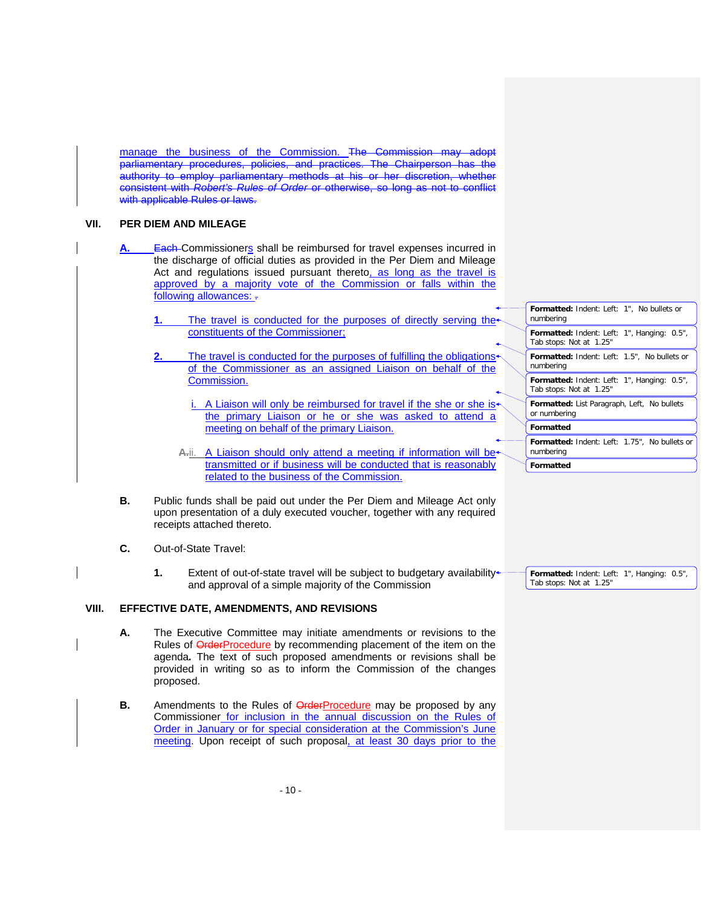manage the business of the Commission. The Commission may parliamentary procedures, policies, and practices. The Chairperson has the authority to employ parliamentary methods at his or her discretion, whether consistent with *Robert's Rules of Order* or otherwise, so long as not to conflict with applicable Rules or laws.

# **VII. PER DIEM AND MILEAGE**

- **Each Commissioners shall be reimbursed for travel expenses incurred in** the discharge of official duties as provided in the Per Diem and Mileage Act and regulations issued pursuant thereto, as long as the travel is approved by a majority vote of the Commission or falls within the following allowances: -
	- The travel is conducted for the purposes of directly serving the constituents of the Commissioner;
	- **2.** The travel is conducted for the purposes of fulfilling the obligations of the Commissioner as an assigned Liaison on behalf of the Commission.
		- i. A Liaison will only be reimbursed for travel if the she or she isthe primary Liaison or he or she was asked to attend a meeting on behalf of the primary Liaison.
		- A.ii. A Liaison should only attend a meeting if information will be<sup>\*</sup> transmitted or if business will be conducted that is reasonably related to the business of the Commission.
- **B.** Public funds shall be paid out under the Per Diem and Mileage Act only upon presentation of a duly executed voucher, together with any required receipts attached thereto.
- **C.** Out-of-State Travel:
	- **1.** Extent of out-of-state travel will be subject to budgetary availability and approval of a simple majority of the Commission

# **VIII. EFFECTIVE DATE, AMENDMENTS, AND REVISIONS**

- **A.** The Executive Committee may initiate amendments or revisions to the Rules of OrderProcedure by recommending placement of the item on the agenda*.* The text of such proposed amendments or revisions shall be provided in writing so as to inform the Commission of the changes proposed.
	- **B.** Amendments to the Rules of OrderProcedure may be proposed by any Commissioner for inclusion in the annual discussion on the Rules of Order in January or for special consideration at the Commission's June meeting. Upon receipt of such proposal, at least 30 days prior to the

| Formatted: Indent: Left: 1", No bullets or<br>numbering                |
|------------------------------------------------------------------------|
| Formatted: Indent: Left: 1", Hanging: 0.5",<br>Tab stops: Not at 1.25" |
| Formatted: Indent: Left: 1.5", No bullets or<br>numbering              |
| Formatted: Indent: Left: 1", Hanging: 0.5",<br>Tab stops: Not at 1.25" |
| Formatted: List Paragraph, Left, No bullets<br>or numbering            |
| Formatted                                                              |
| Formatted: Indent: Left: 1.75", No bullets or<br>numbering             |
| Formatted                                                              |

**Formatted:** Indent: Left: 1", Hanging: 0.5", Tab stops: Not at 1.25"